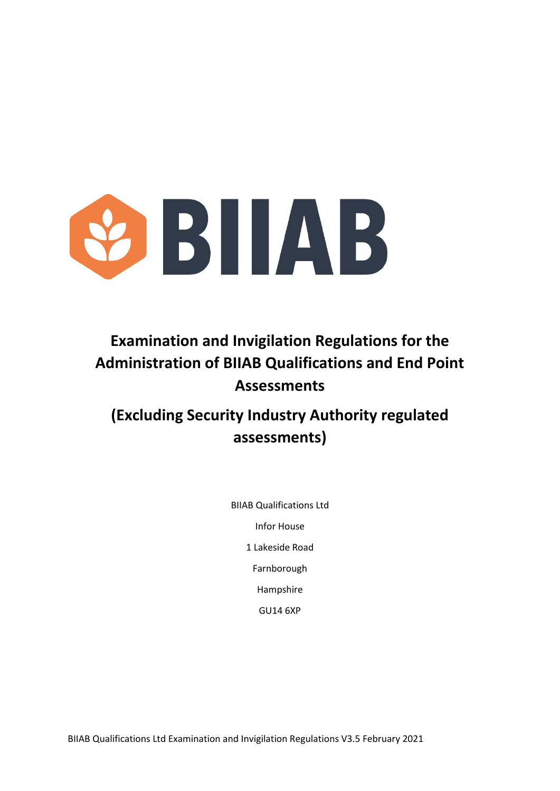

# **Examination and Invigilation Regulations for the Administration of BIIAB Qualifications and End Point Assessments**

# **(Excluding Security Industry Authority regulated assessments)**

BIIAB Qualifications Ltd Infor House 1 Lakeside Road Farnborough Hampshire GU14 6XP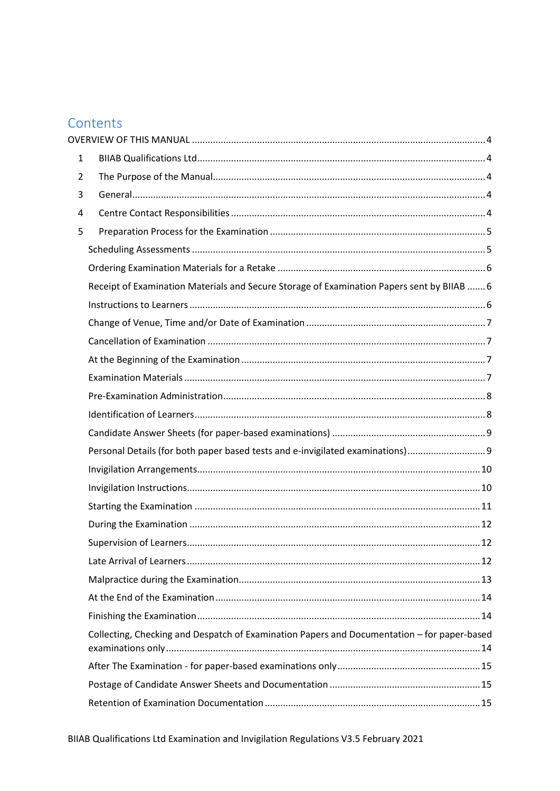# Contents

| $\mathbf{1}$   |                                                                                             |  |
|----------------|---------------------------------------------------------------------------------------------|--|
| $\overline{2}$ |                                                                                             |  |
| 3              |                                                                                             |  |
| 4              |                                                                                             |  |
| 5              |                                                                                             |  |
|                |                                                                                             |  |
|                |                                                                                             |  |
|                | Receipt of Examination Materials and Secure Storage of Examination Papers sent by BIIAB  6  |  |
|                |                                                                                             |  |
|                |                                                                                             |  |
|                |                                                                                             |  |
|                |                                                                                             |  |
|                |                                                                                             |  |
|                |                                                                                             |  |
|                |                                                                                             |  |
|                |                                                                                             |  |
|                | Personal Details (for both paper based tests and e-invigilated examinations)9               |  |
|                |                                                                                             |  |
|                |                                                                                             |  |
|                |                                                                                             |  |
|                |                                                                                             |  |
|                |                                                                                             |  |
|                |                                                                                             |  |
|                |                                                                                             |  |
|                |                                                                                             |  |
|                |                                                                                             |  |
|                | Collecting, Checking and Despatch of Examination Papers and Documentation - for paper-based |  |
|                |                                                                                             |  |
|                |                                                                                             |  |
|                |                                                                                             |  |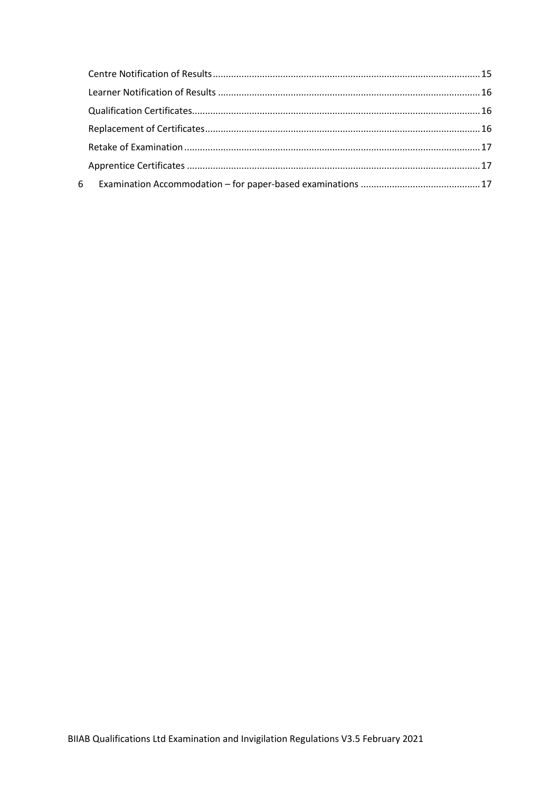| 6 |  |
|---|--|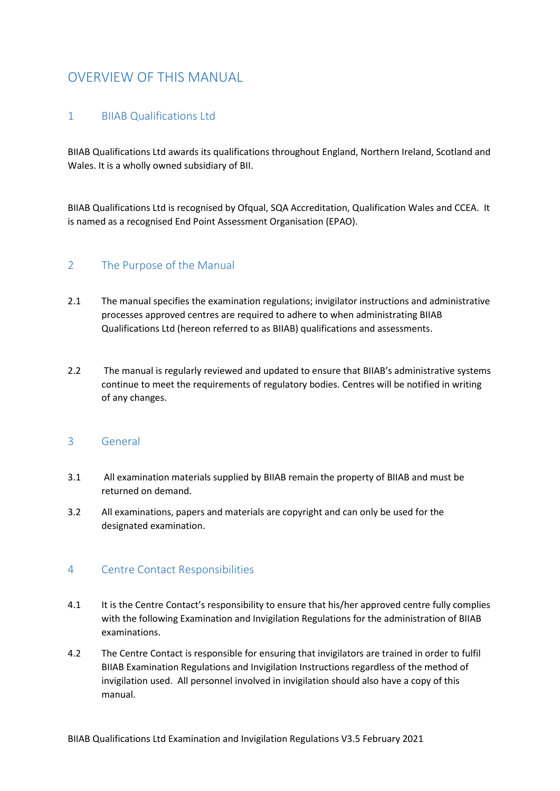## <span id="page-3-0"></span>OVERVIEW OF THIS MANUAL

## <span id="page-3-1"></span>1 BIIAB Qualifications Ltd

BIIAB Qualifications Ltd awards its qualifications throughout England, Northern Ireland, Scotland and Wales. It is a wholly owned subsidiary of BII.

BIIAB Qualifications Ltd is recognised by Ofqual, SQA Accreditation, Qualification Wales and CCEA. It is named as a recognised End Point Assessment Organisation (EPAO).

#### <span id="page-3-2"></span>2 The Purpose of the Manual

- 2.1 The manual specifies the examination regulations; invigilator instructions and administrative processes approved centres are required to adhere to when administrating BIIAB Qualifications Ltd (hereon referred to as BIIAB) qualifications and assessments.
- 2.2 The manual is regularly reviewed and updated to ensure that BIIAB's administrative systems continue to meet the requirements of regulatory bodies. Centres will be notified in writing of any changes.

#### <span id="page-3-3"></span>3 General

- 3.1 All examination materials supplied by BIIAB remain the property of BIIAB and must be returned on demand.
- 3.2 All examinations, papers and materials are copyright and can only be used for the designated examination.

### <span id="page-3-4"></span>4 Centre Contact Responsibilities

- 4.1 It is the Centre Contact's responsibility to ensure that his/her approved centre fully complies with the following Examination and Invigilation Regulations for the administration of BIIAB examinations.
- 4.2 The Centre Contact is responsible for ensuring that invigilators are trained in order to fulfil BIIAB Examination Regulations and Invigilation Instructions regardless of the method of invigilation used. All personnel involved in invigilation should also have a copy of this manual.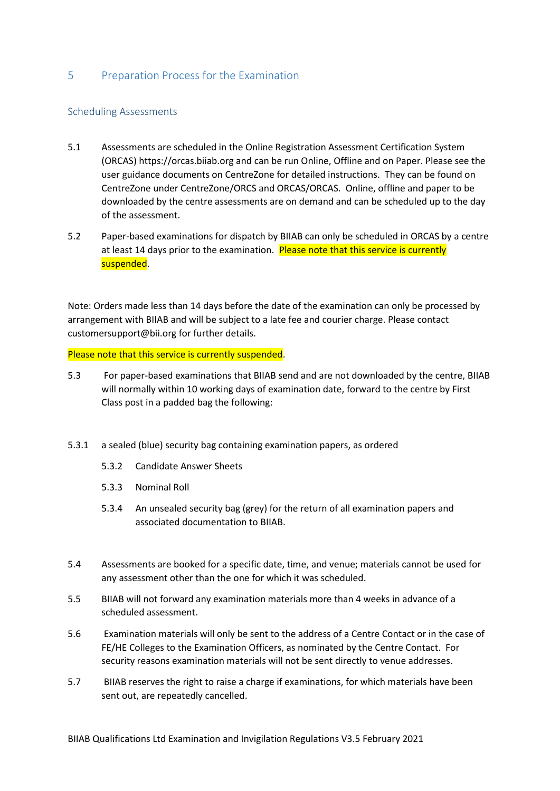### <span id="page-4-0"></span>5 Preparation Process for the Examination

#### <span id="page-4-1"></span>Scheduling Assessments

- 5.1 Assessments are scheduled in the Online Registration Assessment Certification System (ORCAS) https://orcas.biiab.org and can be run Online, Offline and on Paper. Please see the user guidance documents on CentreZone for detailed instructions. They can be found on CentreZone under CentreZone/ORCS and ORCAS/ORCAS. Online, offline and paper to be downloaded by the centre assessments are on demand and can be scheduled up to the day of the assessment.
- 5.2 Paper-based examinations for dispatch by BIIAB can only be scheduled in ORCAS by a centre at least 14 days prior to the examination. Please note that this service is currently suspended.

Note: Orders made less than 14 days before the date of the examination can only be processed by arrangement with BIIAB and will be subject to a late fee and courier charge. Please contact customersupport@bii.org for further details.

Please note that this service is currently suspended.

- 5.3 For paper-based examinations that BIIAB send and are not downloaded by the centre, BIIAB will normally within 10 working days of examination date, forward to the centre by First Class post in a padded bag the following:
- 5.3.1 a sealed (blue) security bag containing examination papers, as ordered
	- 5.3.2 Candidate Answer Sheets
	- 5.3.3 Nominal Roll
	- 5.3.4 An unsealed security bag (grey) for the return of all examination papers and associated documentation to BIIAB.
- 5.4 Assessments are booked for a specific date, time, and venue; materials cannot be used for any assessment other than the one for which it was scheduled.
- 5.5 BIIAB will not forward any examination materials more than 4 weeks in advance of a scheduled assessment.
- 5.6 Examination materials will only be sent to the address of a Centre Contact or in the case of FE/HE Colleges to the Examination Officers, as nominated by the Centre Contact. For security reasons examination materials will not be sent directly to venue addresses.
- 5.7 BIIAB reserves the right to raise a charge if examinations, for which materials have been sent out, are repeatedly cancelled.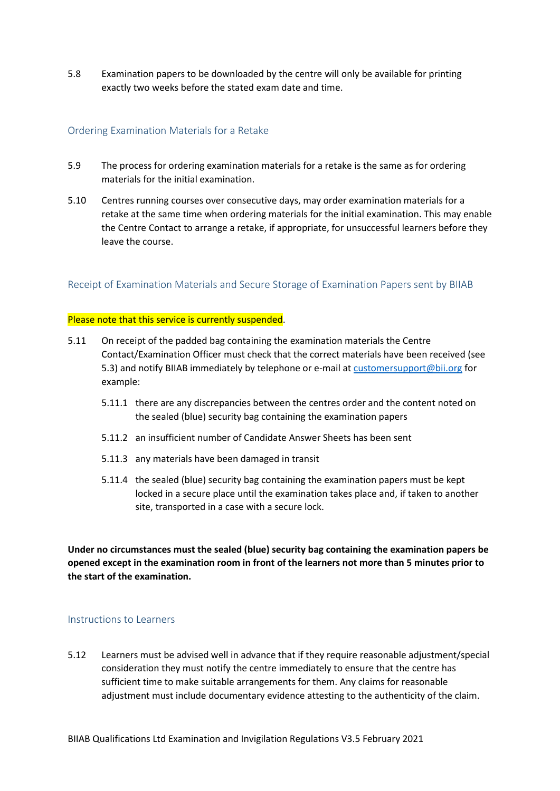5.8 Examination papers to be downloaded by the centre will only be available for printing exactly two weeks before the stated exam date and time.

#### <span id="page-5-0"></span>Ordering Examination Materials for a Retake

- 5.9 The process for ordering examination materials for a retake is the same as for ordering materials for the initial examination.
- 5.10 Centres running courses over consecutive days, may order examination materials for a retake at the same time when ordering materials for the initial examination. This may enable the Centre Contact to arrange a retake, if appropriate, for unsuccessful learners before they leave the course.

<span id="page-5-1"></span>Receipt of Examination Materials and Secure Storage of Examination Papers sent by BIIAB

#### Please note that this service is currently suspended.

- 5.11 On receipt of the padded bag containing the examination materials the Centre Contact/Examination Officer must check that the correct materials have been received (see 5.3) and notify BIIAB immediately by telephone or e-mail at [customersupport@bii.org](mailto:customersupport@bii.org) for example:
	- 5.11.1 there are any discrepancies between the centres order and the content noted on the sealed (blue) security bag containing the examination papers
	- 5.11.2 an insufficient number of Candidate Answer Sheets has been sent
	- 5.11.3 any materials have been damaged in transit
	- 5.11.4 the sealed (blue) security bag containing the examination papers must be kept locked in a secure place until the examination takes place and, if taken to another site, transported in a case with a secure lock.

**Under no circumstances must the sealed (blue) security bag containing the examination papers be opened except in the examination room in front of the learners not more than 5 minutes prior to the start of the examination.** 

#### <span id="page-5-2"></span>Instructions to Learners

5.12 Learners must be advised well in advance that if they require reasonable adjustment/special consideration they must notify the centre immediately to ensure that the centre has sufficient time to make suitable arrangements for them. Any claims for reasonable adjustment must include documentary evidence attesting to the authenticity of the claim.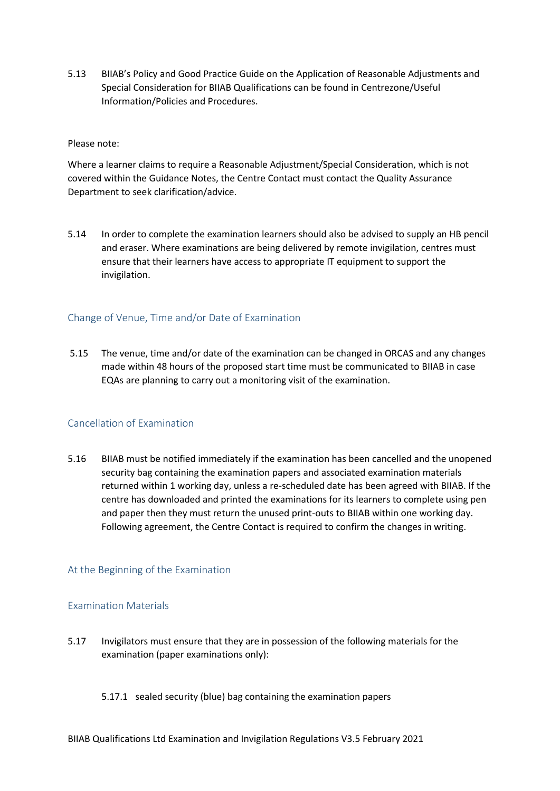5.13 BIIAB's Policy and Good Practice Guide on the Application of Reasonable Adjustments and Special Consideration for BIIAB Qualifications can be found in Centrezone/Useful Information/Policies and Procedures.

#### Please note:

Where a learner claims to require a Reasonable Adjustment/Special Consideration, which is not covered within the Guidance Notes, the Centre Contact must contact the Quality Assurance Department to seek clarification/advice.

5.14 In order to complete the examination learners should also be advised to supply an HB pencil and eraser. Where examinations are being delivered by remote invigilation, centres must ensure that their learners have access to appropriate IT equipment to support the invigilation.

#### <span id="page-6-0"></span>Change of Venue, Time and/or Date of Examination

5.15 The venue, time and/or date of the examination can be changed in ORCAS and any changes made within 48 hours of the proposed start time must be communicated to BIIAB in case EQAs are planning to carry out a monitoring visit of the examination.

#### <span id="page-6-1"></span>Cancellation of Examination

5.16 BIIAB must be notified immediately if the examination has been cancelled and the unopened security bag containing the examination papers and associated examination materials returned within 1 working day, unless a re-scheduled date has been agreed with BIIAB. If the centre has downloaded and printed the examinations for its learners to complete using pen and paper then they must return the unused print-outs to BIIAB within one working day. Following agreement, the Centre Contact is required to confirm the changes in writing.

#### <span id="page-6-2"></span>At the Beginning of the Examination

#### <span id="page-6-3"></span>Examination Materials

- 5.17 Invigilators must ensure that they are in possession of the following materials for the examination (paper examinations only):
	- 5.17.1 sealed security (blue) bag containing the examination papers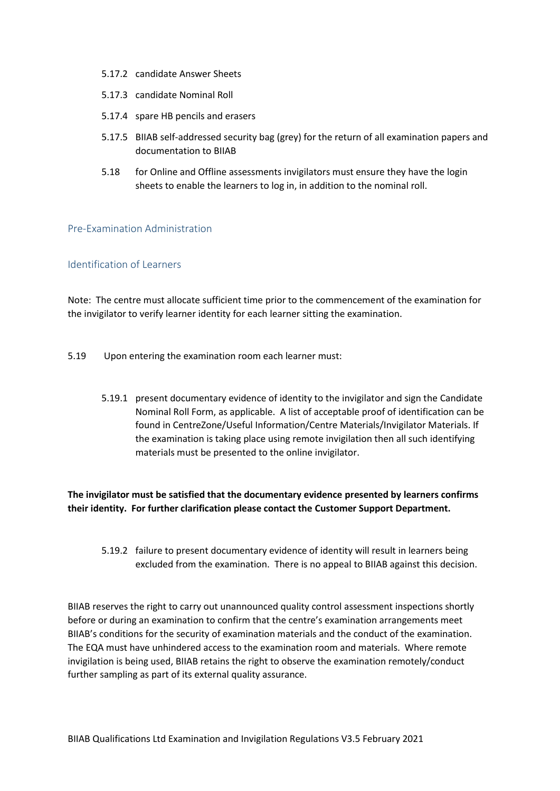- 5.17.2 candidate Answer Sheets
- 5.17.3 candidate Nominal Roll
- 5.17.4 spare HB pencils and erasers
- 5.17.5 BIIAB self-addressed security bag (grey) for the return of all examination papers and documentation to BIIAB
- 5.18 for Online and Offline assessments invigilators must ensure they have the login sheets to enable the learners to log in, in addition to the nominal roll.

#### <span id="page-7-0"></span>Pre-Examination Administration

#### <span id="page-7-1"></span>Identification of Learners

Note: The centre must allocate sufficient time prior to the commencement of the examination for the invigilator to verify learner identity for each learner sitting the examination.

- 5.19 Upon entering the examination room each learner must:
	- 5.19.1 present documentary evidence of identity to the invigilator and sign the Candidate Nominal Roll Form, as applicable. A list of acceptable proof of identification can be found in CentreZone/Useful Information/Centre Materials/Invigilator Materials. If the examination is taking place using remote invigilation then all such identifying materials must be presented to the online invigilator.

**The invigilator must be satisfied that the documentary evidence presented by learners confirms their identity. For further clarification please contact the Customer Support Department.**

5.19.2 failure to present documentary evidence of identity will result in learners being excluded from the examination. There is no appeal to BIIAB against this decision.

BIIAB reserves the right to carry out unannounced quality control assessment inspections shortly before or during an examination to confirm that the centre's examination arrangements meet BIIAB's conditions for the security of examination materials and the conduct of the examination. The EQA must have unhindered access to the examination room and materials. Where remote invigilation is being used, BIIAB retains the right to observe the examination remotely/conduct further sampling as part of its external quality assurance.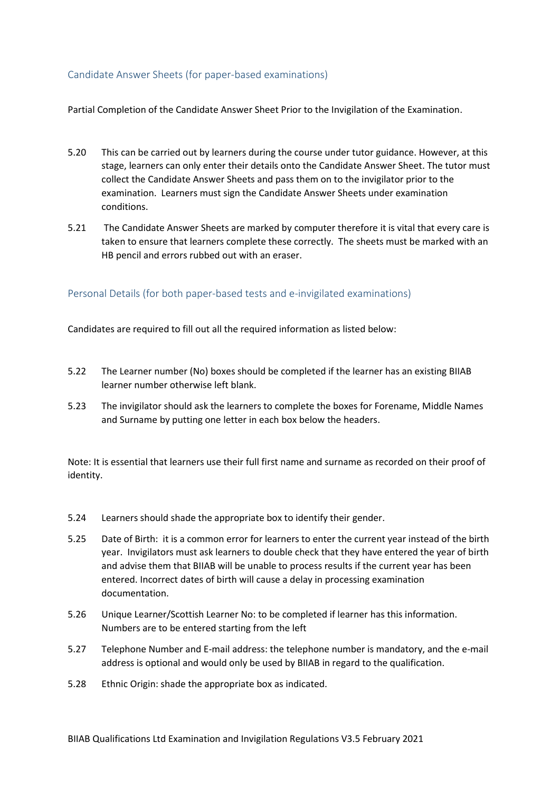#### <span id="page-8-0"></span>Candidate Answer Sheets (for paper-based examinations)

Partial Completion of the Candidate Answer Sheet Prior to the Invigilation of the Examination.

- 5.20 This can be carried out by learners during the course under tutor guidance. However, at this stage, learners can only enter their details onto the Candidate Answer Sheet. The tutor must collect the Candidate Answer Sheets and pass them on to the invigilator prior to the examination. Learners must sign the Candidate Answer Sheets under examination conditions.
- 5.21 The Candidate Answer Sheets are marked by computer therefore it is vital that every care is taken to ensure that learners complete these correctly. The sheets must be marked with an HB pencil and errors rubbed out with an eraser.

#### <span id="page-8-1"></span>Personal Details (for both paper-based tests and e-invigilated examinations)

Candidates are required to fill out all the required information as listed below:

- 5.22 The Learner number (No) boxes should be completed if the learner has an existing BIIAB learner number otherwise left blank.
- 5.23 The invigilator should ask the learners to complete the boxes for Forename, Middle Names and Surname by putting one letter in each box below the headers.

Note: It is essential that learners use their full first name and surname as recorded on their proof of identity.

- 5.24 Learners should shade the appropriate box to identify their gender.
- 5.25 Date of Birth: it is a common error for learners to enter the current year instead of the birth year. Invigilators must ask learners to double check that they have entered the year of birth and advise them that BIIAB will be unable to process results if the current year has been entered. Incorrect dates of birth will cause a delay in processing examination documentation.
- 5.26 Unique Learner/Scottish Learner No: to be completed if learner has this information. Numbers are to be entered starting from the left
- 5.27 Telephone Number and E-mail address: the telephone number is mandatory, and the e-mail address is optional and would only be used by BIIAB in regard to the qualification.
- 5.28 Ethnic Origin: shade the appropriate box as indicated.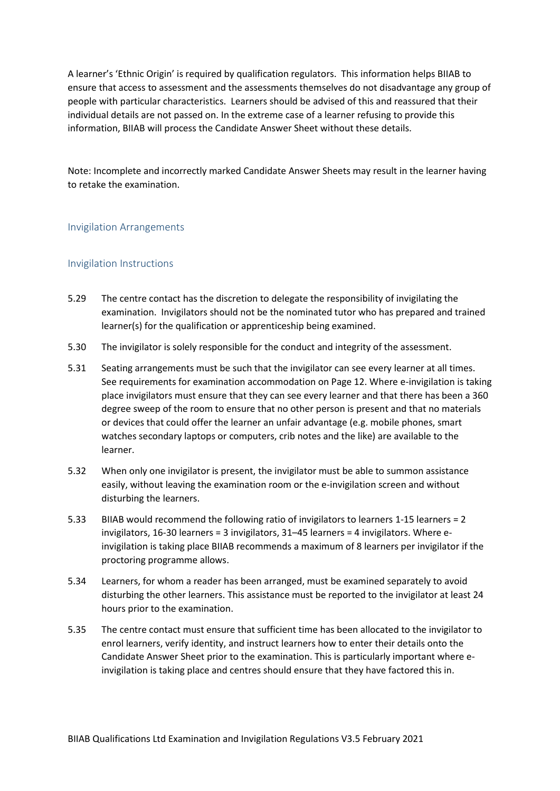A learner's 'Ethnic Origin' is required by qualification regulators. This information helps BIIAB to ensure that access to assessment and the assessments themselves do not disadvantage any group of people with particular characteristics. Learners should be advised of this and reassured that their individual details are not passed on. In the extreme case of a learner refusing to provide this information, BIIAB will process the Candidate Answer Sheet without these details.

Note: Incomplete and incorrectly marked Candidate Answer Sheets may result in the learner having to retake the examination.

#### <span id="page-9-0"></span>Invigilation Arrangements

#### <span id="page-9-1"></span>Invigilation Instructions

- 5.29 The centre contact has the discretion to delegate the responsibility of invigilating the examination. Invigilators should not be the nominated tutor who has prepared and trained learner(s) for the qualification or apprenticeship being examined.
- 5.30 The invigilator is solely responsible for the conduct and integrity of the assessment.
- 5.31 Seating arrangements must be such that the invigilator can see every learner at all times. See requirements for examination accommodation on Page 12. Where e-invigilation is taking place invigilators must ensure that they can see every learner and that there has been a 360 degree sweep of the room to ensure that no other person is present and that no materials or devices that could offer the learner an unfair advantage (e.g. mobile phones, smart watches secondary laptops or computers, crib notes and the like) are available to the learner.
- 5.32 When only one invigilator is present, the invigilator must be able to summon assistance easily, without leaving the examination room or the e-invigilation screen and without disturbing the learners.
- 5.33 BIIAB would recommend the following ratio of invigilators to learners 1-15 learners = 2 invigilators, 16-30 learners = 3 invigilators, 31–45 learners = 4 invigilators. Where einvigilation is taking place BIIAB recommends a maximum of 8 learners per invigilator if the proctoring programme allows.
- 5.34 Learners, for whom a reader has been arranged, must be examined separately to avoid disturbing the other learners. This assistance must be reported to the invigilator at least 24 hours prior to the examination.
- 5.35 The centre contact must ensure that sufficient time has been allocated to the invigilator to enrol learners, verify identity, and instruct learners how to enter their details onto the Candidate Answer Sheet prior to the examination. This is particularly important where einvigilation is taking place and centres should ensure that they have factored this in.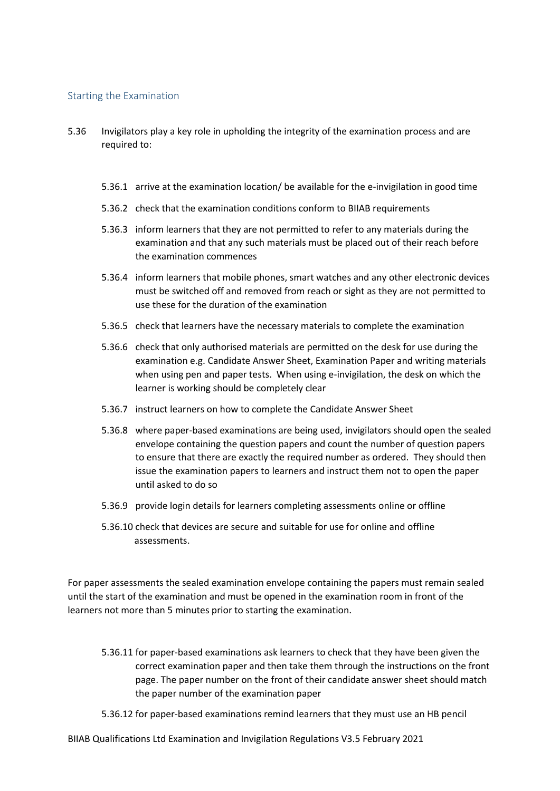#### <span id="page-10-0"></span>Starting the Examination

- 5.36 Invigilators play a key role in upholding the integrity of the examination process and are required to:
	- 5.36.1 arrive at the examination location/ be available for the e-invigilation in good time
	- 5.36.2 check that the examination conditions conform to BIIAB requirements
	- 5.36.3 inform learners that they are not permitted to refer to any materials during the examination and that any such materials must be placed out of their reach before the examination commences
	- 5.36.4 inform learners that mobile phones, smart watches and any other electronic devices must be switched off and removed from reach or sight as they are not permitted to use these for the duration of the examination
	- 5.36.5 check that learners have the necessary materials to complete the examination
	- 5.36.6 check that only authorised materials are permitted on the desk for use during the examination e.g. Candidate Answer Sheet, Examination Paper and writing materials when using pen and paper tests. When using e-invigilation, the desk on which the learner is working should be completely clear
	- 5.36.7 instruct learners on how to complete the Candidate Answer Sheet
	- 5.36.8 where paper-based examinations are being used, invigilators should open the sealed envelope containing the question papers and count the number of question papers to ensure that there are exactly the required number as ordered. They should then issue the examination papers to learners and instruct them not to open the paper until asked to do so
	- 5.36.9 provide login details for learners completing assessments online or offline
	- 5.36.10 check that devices are secure and suitable for use for online and offline assessments.

For paper assessments the sealed examination envelope containing the papers must remain sealed until the start of the examination and must be opened in the examination room in front of the learners not more than 5 minutes prior to starting the examination.

- 5.36.11 for paper-based examinations ask learners to check that they have been given the correct examination paper and then take them through the instructions on the front page. The paper number on the front of their candidate answer sheet should match the paper number of the examination paper
- 5.36.12 for paper-based examinations remind learners that they must use an HB pencil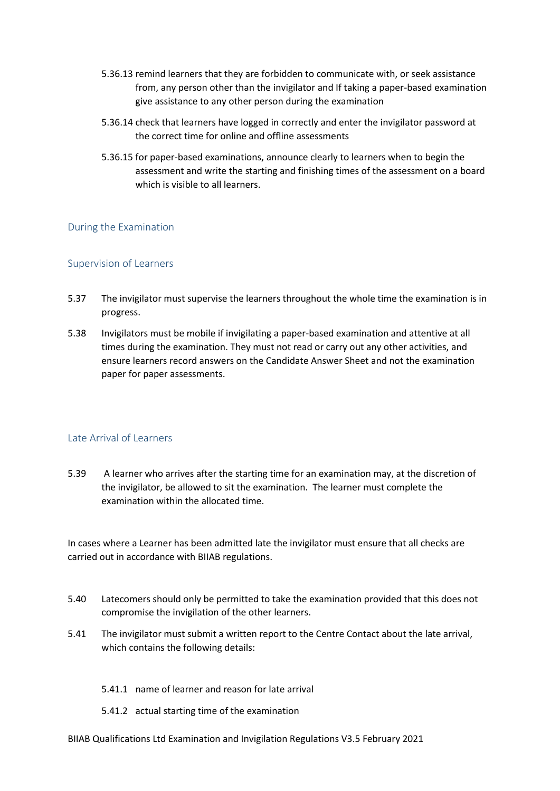- 5.36.13 remind learners that they are forbidden to communicate with, or seek assistance from, any person other than the invigilator and If taking a paper-based examination give assistance to any other person during the examination
- 5.36.14 check that learners have logged in correctly and enter the invigilator password at the correct time for online and offline assessments
- 5.36.15 for paper-based examinations, announce clearly to learners when to begin the assessment and write the starting and finishing times of the assessment on a board which is visible to all learners.

#### <span id="page-11-0"></span>During the Examination

#### <span id="page-11-1"></span>Supervision of Learners

- 5.37 The invigilator must supervise the learners throughout the whole time the examination is in progress.
- 5.38 Invigilators must be mobile if invigilating a paper-based examination and attentive at all times during the examination. They must not read or carry out any other activities, and ensure learners record answers on the Candidate Answer Sheet and not the examination paper for paper assessments.

#### <span id="page-11-2"></span>Late Arrival of Learners

5.39 A learner who arrives after the starting time for an examination may, at the discretion of the invigilator, be allowed to sit the examination. The learner must complete the examination within the allocated time.

In cases where a Learner has been admitted late the invigilator must ensure that all checks are carried out in accordance with BIIAB regulations.

- 5.40 Latecomers should only be permitted to take the examination provided that this does not compromise the invigilation of the other learners.
- 5.41 The invigilator must submit a written report to the Centre Contact about the late arrival, which contains the following details:
	- 5.41.1 name of learner and reason for late arrival
	- 5.41.2 actual starting time of the examination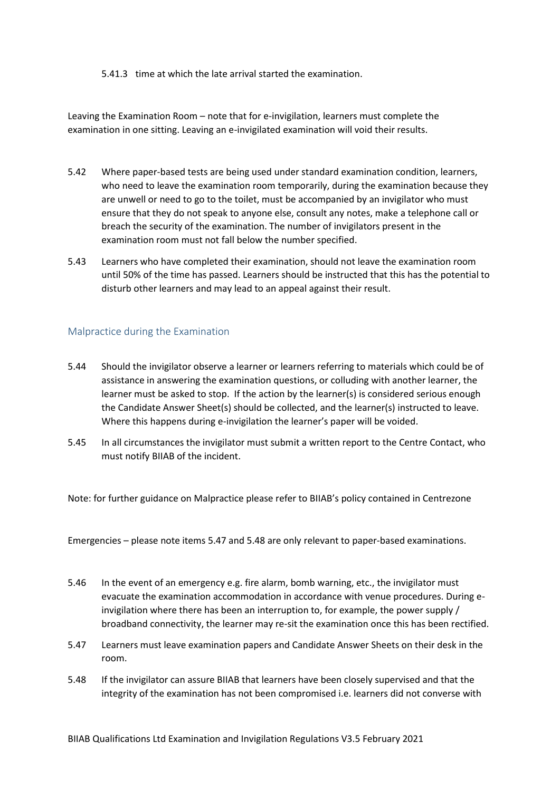#### 5.41.3 time at which the late arrival started the examination.

Leaving the Examination Room – note that for e-invigilation, learners must complete the examination in one sitting. Leaving an e-invigilated examination will void their results.

- 5.42 Where paper-based tests are being used under standard examination condition, learners, who need to leave the examination room temporarily, during the examination because they are unwell or need to go to the toilet, must be accompanied by an invigilator who must ensure that they do not speak to anyone else, consult any notes, make a telephone call or breach the security of the examination. The number of invigilators present in the examination room must not fall below the number specified.
- 5.43 Learners who have completed their examination, should not leave the examination room until 50% of the time has passed. Learners should be instructed that this has the potential to disturb other learners and may lead to an appeal against their result.

#### <span id="page-12-0"></span>Malpractice during the Examination

- 5.44 Should the invigilator observe a learner or learners referring to materials which could be of assistance in answering the examination questions, or colluding with another learner, the learner must be asked to stop. If the action by the learner(s) is considered serious enough the Candidate Answer Sheet(s) should be collected, and the learner(s) instructed to leave. Where this happens during e-invigilation the learner's paper will be voided.
- 5.45 In all circumstances the invigilator must submit a written report to the Centre Contact, who must notify BIIAB of the incident.

Note: for further guidance on Malpractice please refer to BIIAB's policy contained in Centrezone

Emergencies – please note items 5.47 and 5.48 are only relevant to paper-based examinations.

- 5.46 In the event of an emergency e.g. fire alarm, bomb warning, etc., the invigilator must evacuate the examination accommodation in accordance with venue procedures. During einvigilation where there has been an interruption to, for example, the power supply / broadband connectivity, the learner may re-sit the examination once this has been rectified.
- 5.47 Learners must leave examination papers and Candidate Answer Sheets on their desk in the room.
- 5.48 If the invigilator can assure BIIAB that learners have been closely supervised and that the integrity of the examination has not been compromised i.e. learners did not converse with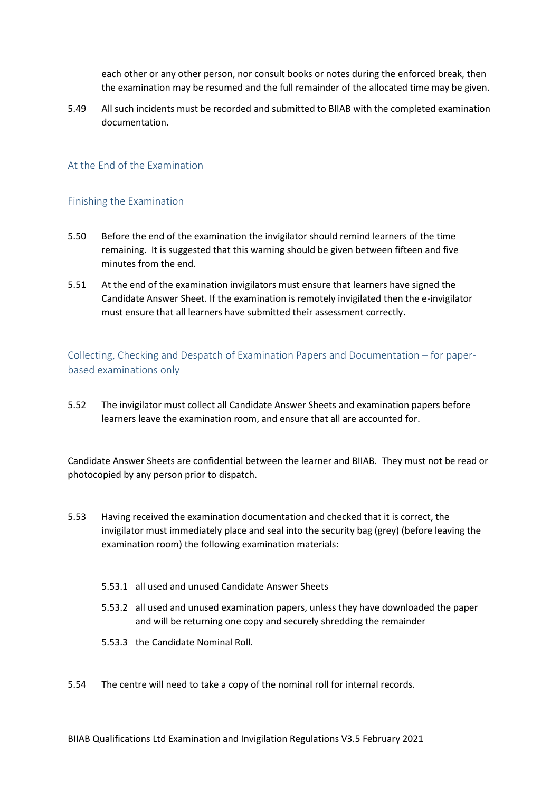each other or any other person, nor consult books or notes during the enforced break, then the examination may be resumed and the full remainder of the allocated time may be given.

5.49 All such incidents must be recorded and submitted to BIIAB with the completed examination documentation.

#### <span id="page-13-0"></span>At the End of the Examination

#### <span id="page-13-1"></span>Finishing the Examination

- 5.50 Before the end of the examination the invigilator should remind learners of the time remaining. It is suggested that this warning should be given between fifteen and five minutes from the end.
- 5.51 At the end of the examination invigilators must ensure that learners have signed the Candidate Answer Sheet. If the examination is remotely invigilated then the e-invigilator must ensure that all learners have submitted their assessment correctly.

<span id="page-13-2"></span>Collecting, Checking and Despatch of Examination Papers and Documentation – for paperbased examinations only

5.52 The invigilator must collect all Candidate Answer Sheets and examination papers before learners leave the examination room, and ensure that all are accounted for.

Candidate Answer Sheets are confidential between the learner and BIIAB. They must not be read or photocopied by any person prior to dispatch.

- 5.53 Having received the examination documentation and checked that it is correct, the invigilator must immediately place and seal into the security bag (grey) (before leaving the examination room) the following examination materials:
	- 5.53.1 all used and unused Candidate Answer Sheets
	- 5.53.2 all used and unused examination papers, unless they have downloaded the paper and will be returning one copy and securely shredding the remainder
	- 5.53.3 the Candidate Nominal Roll.
- 5.54 The centre will need to take a copy of the nominal roll for internal records.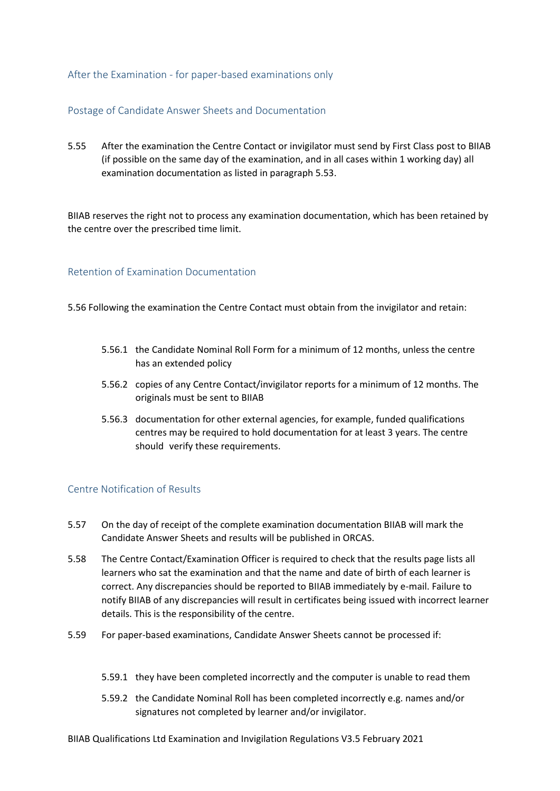#### <span id="page-14-0"></span>After the Examination - for paper-based examinations only

#### <span id="page-14-1"></span>Postage of Candidate Answer Sheets and Documentation

5.55 After the examination the Centre Contact or invigilator must send by First Class post to BIIAB (if possible on the same day of the examination, and in all cases within 1 working day) all examination documentation as listed in paragraph 5.53.

BIIAB reserves the right not to process any examination documentation, which has been retained by the centre over the prescribed time limit.

#### <span id="page-14-2"></span>Retention of Examination Documentation

5.56 Following the examination the Centre Contact must obtain from the invigilator and retain:

- 5.56.1 the Candidate Nominal Roll Form for a minimum of 12 months, unless the centre has an extended policy
- 5.56.2 copies of any Centre Contact/invigilator reports for a minimum of 12 months. The originals must be sent to BIIAB
- 5.56.3 documentation for other external agencies, for example, funded qualifications centres may be required to hold documentation for at least 3 years. The centre should verify these requirements.

#### <span id="page-14-3"></span>Centre Notification of Results

- 5.57 On the day of receipt of the complete examination documentation BIIAB will mark the Candidate Answer Sheets and results will be published in ORCAS.
- 5.58 The Centre Contact/Examination Officer is required to check that the results page lists all learners who sat the examination and that the name and date of birth of each learner is correct. Any discrepancies should be reported to BIIAB immediately by e-mail. Failure to notify BIIAB of any discrepancies will result in certificates being issued with incorrect learner details. This is the responsibility of the centre.
- 5.59 For paper-based examinations, Candidate Answer Sheets cannot be processed if:
	- 5.59.1 they have been completed incorrectly and the computer is unable to read them
	- 5.59.2 the Candidate Nominal Roll has been completed incorrectly e.g. names and/or signatures not completed by learner and/or invigilator.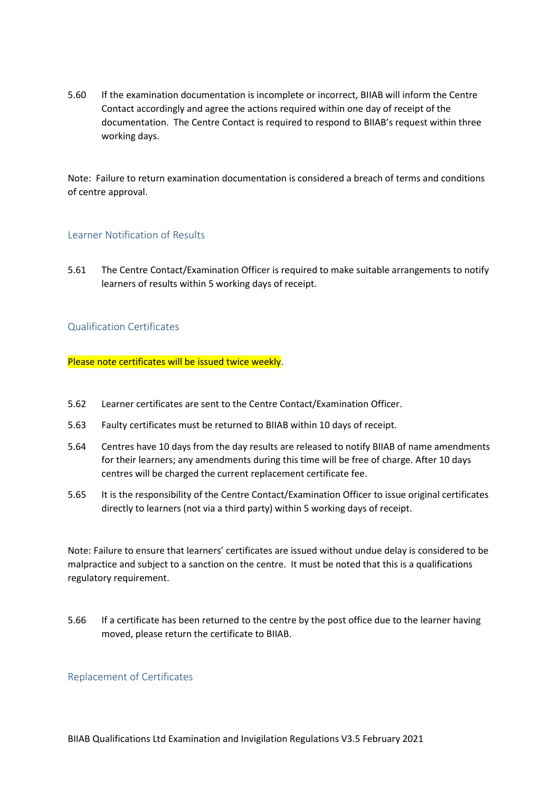5.60 If the examination documentation is incomplete or incorrect, BIIAB will inform the Centre Contact accordingly and agree the actions required within one day of receipt of the documentation. The Centre Contact is required to respond to BIIAB's request within three working days.

Note: Failure to return examination documentation is considered a breach of terms and conditions of centre approval.

#### <span id="page-15-0"></span>Learner Notification of Results

5.61 The Centre Contact/Examination Officer is required to make suitable arrangements to notify learners of results within 5 working days of receipt.

#### <span id="page-15-1"></span>Qualification Certificates

Please note certificates will be issued twice weekly.

- 5.62 Learner certificates are sent to the Centre Contact/Examination Officer.
- 5.63 Faulty certificates must be returned to BIIAB within 10 days of receipt.
- 5.64 Centres have 10 days from the day results are released to notify BIIAB of name amendments for their learners; any amendments during this time will be free of charge. After 10 days centres will be charged the current replacement certificate fee.
- 5.65 It is the responsibility of the Centre Contact/Examination Officer to issue original certificates directly to learners (not via a third party) within 5 working days of receipt.

Note: Failure to ensure that learners' certificates are issued without undue delay is considered to be malpractice and subject to a sanction on the centre. It must be noted that this is a qualifications regulatory requirement.

5.66 If a certificate has been returned to the centre by the post office due to the learner having moved, please return the certificate to BIIAB.

#### <span id="page-15-2"></span>Replacement of Certificates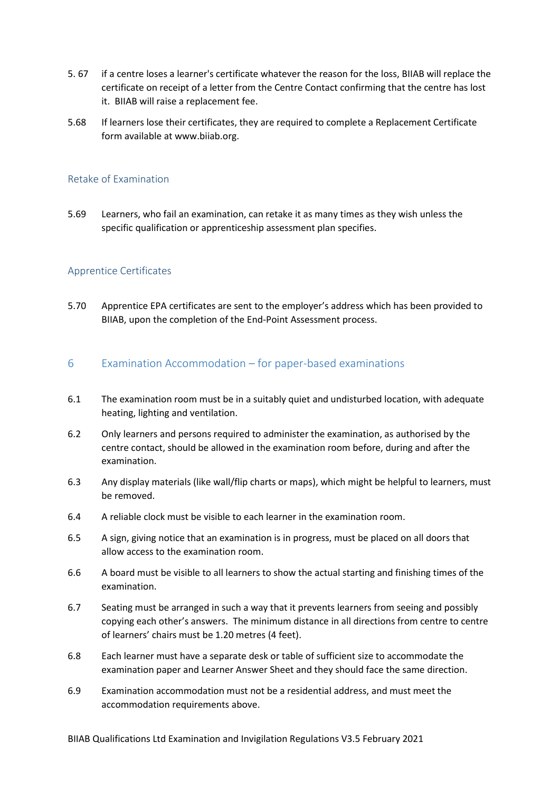- 5. 67 if a centre loses a learner's certificate whatever the reason for the loss, BIIAB will replace the certificate on receipt of a letter from the Centre Contact confirming that the centre has lost it. BIIAB will raise a replacement fee.
- 5.68 If learners lose their certificates, they are required to complete a Replacement Certificate form available at www.biiab.org.

#### <span id="page-16-0"></span>Retake of Examination

5.69 Learners, who fail an examination, can retake it as many times as they wish unless the specific qualification or apprenticeship assessment plan specifies.

#### <span id="page-16-1"></span>Apprentice Certificates

5.70 Apprentice EPA certificates are sent to the employer's address which has been provided to BIIAB, upon the completion of the End-Point Assessment process.

#### <span id="page-16-2"></span>6 Examination Accommodation – for paper-based examinations

- 6.1 The examination room must be in a suitably quiet and undisturbed location, with adequate heating, lighting and ventilation.
- 6.2 Only learners and persons required to administer the examination, as authorised by the centre contact, should be allowed in the examination room before, during and after the examination.
- 6.3 Any display materials (like wall/flip charts or maps), which might be helpful to learners, must be removed.
- 6.4 A reliable clock must be visible to each learner in the examination room.
- 6.5 A sign, giving notice that an examination is in progress, must be placed on all doors that allow access to the examination room.
- 6.6 A board must be visible to all learners to show the actual starting and finishing times of the examination.
- 6.7 Seating must be arranged in such a way that it prevents learners from seeing and possibly copying each other's answers. The minimum distance in all directions from centre to centre of learners' chairs must be 1.20 metres (4 feet).
- 6.8 Each learner must have a separate desk or table of sufficient size to accommodate the examination paper and Learner Answer Sheet and they should face the same direction.
- 6.9 Examination accommodation must not be a residential address, and must meet the accommodation requirements above.